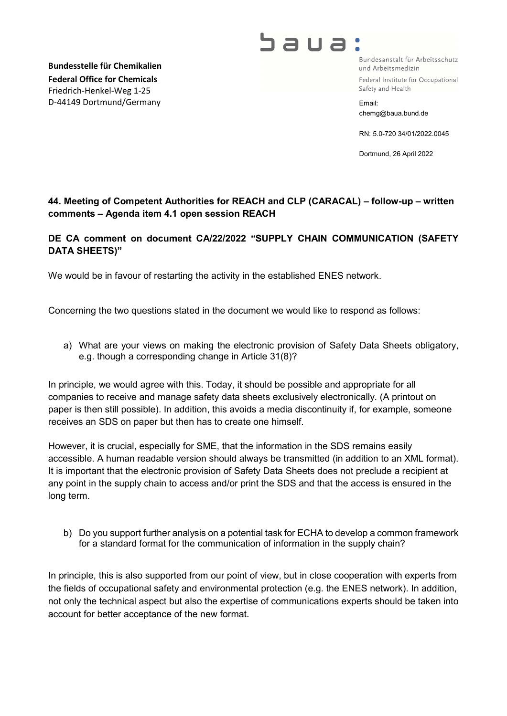Bundesstelle für Chemikalien Federal Office for Chemicals Friedrich-Henkel-Weg 1-25 D-44149 Dortmund/Germany

## **גוובר**

Bundesanstalt für Arbeitsschutz und Arbeitsmedizin Federal Institute for Occupational Safety and Health

Email: chemg@baua.bund.de

RN: 5.0-720 34/01/2022.0045

Dortmund, 26 April 2022

## 44. Meeting of Competent Authorities for REACH and CLP (CARACAL) – follow-up – written comments – Agenda item 4.1 open session REACH

## DE CA comment on document CA/22/2022 "SUPPLY CHAIN COMMUNICATION (SAFETY DATA SHEETS)"

We would be in favour of restarting the activity in the established ENES network.

Concerning the two questions stated in the document we would like to respond as follows:

a) What are your views on making the electronic provision of Safety Data Sheets obligatory, e.g. though a corresponding change in Article 31(8)?

In principle, we would agree with this. Today, it should be possible and appropriate for all companies to receive and manage safety data sheets exclusively electronically. (A printout on paper is then still possible). In addition, this avoids a media discontinuity if, for example, someone receives an SDS on paper but then has to create one himself.

However, it is crucial, especially for SME, that the information in the SDS remains easily accessible. A human readable version should always be transmitted (in addition to an XML format). It is important that the electronic provision of Safety Data Sheets does not preclude a recipient at any point in the supply chain to access and/or print the SDS and that the access is ensured in the long term.

b) Do you support further analysis on a potential task for ECHA to develop a common framework for a standard format for the communication of information in the supply chain?

In principle, this is also supported from our point of view, but in close cooperation with experts from the fields of occupational safety and environmental protection (e.g. the ENES network). In addition, not only the technical aspect but also the expertise of communications experts should be taken into account for better acceptance of the new format.